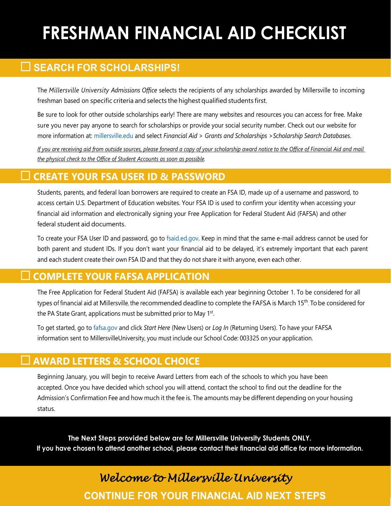# **FRESHMAN FINANCIAL AID CHECKLIST**

## **SEARCH FOR SCHOLARSHIPS!**

The *Millersville University Admissions Office* selects the recipients of any scholarships awarded by Millersville to incoming freshman based on specific criteria and selects the highest qualified students first.

Be sure to look for other outside scholarships early! There are many websites and resources you can access for free. Make sure you never pay anyone to search for scholarships or provide your social security number. Check out our website for more information at: [millersville.edu](http://www.millersville.edu/) and select *Financial Aid* > *Grants and Scholarships* >*Scholarship Search Databases*.

*If you are receiving aid from outside sources, please forward a copy of your scholarship award notice to the Office of Financial Aid and mail the physical check to the Office of Student Accounts as soon as possible.*

#### **CREATE YOUR FSA USER ID & PASSWORD**

Students, parents, and federal loan borrowers are required to create an FSA ID, made up of a username and password, to access certain U.S. Department of Education websites. Your FSA ID is used to confirm your identity when accessing your financial aid information and electronically signing your Free Application for Federal Student Aid (FAFSA) and other federal student aid documents.

To create your FSA User ID and password, go to [fsaid.ed.gov.](https://studentaid.gov/fsa-id/sign-in/landing) Keep in mind that the same e-mail address cannot be used for both parent and student IDs. If you don't want your financial aid to be delayed, it's extremely important that each parent and each student create their own FSA ID and that they do not share it with anyone, even each other.

#### **COMPLETE YOUR FAFSA APPLICATION**

The Free Application for Federal Student Aid (FAFSA) is available each year beginning October 1. To be considered for all types of financial aid at Millersville, the recommended deadline to complete the FAFSA is March 15th. To be considered for the PA State Grant, applications must be submitted prior to May 1<sup>st</sup>.

To get started, go to [fafsa.gov a](https://studentaid.gov/h/apply-for-aid/fafsa)nd click *Start Here* (New Users) or *Log In* (Returning Users). To have your FAFSA information sent to MillersvilleUniversity, you must include our School Code: 003325 on your application.

#### **AWARD LETTERS & SCHOOL CHOICE**

Beginning January, you will begin to receive Award Letters from each of the schools to which you have been accepted. Once you have decided which school you will attend, contact the school to find out the deadline for the Admission's Confirmation Fee and how much it the fee is. The amounts may be different depending on your housing status.

**The Next Steps provided below are for Millersville University Students ONLY.** If you have chosen to attend another school, please contact their financial aid office for more information.

## *Welcome to Millersville University* **CONTINUE FOR YOUR FINANCIAL AID NEXT STEPS**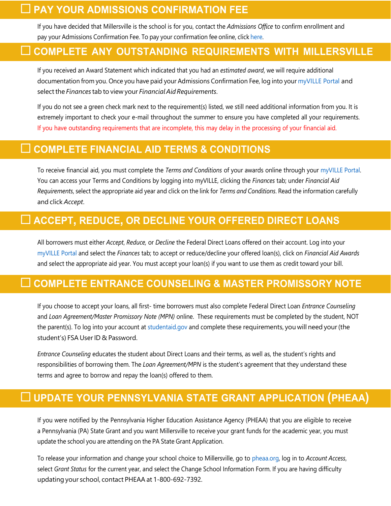#### $\Box$  PAY YOUR ADMISSIONS CONFIRMATION FEE

If you have decided that Millersville is the school is for you, contact the *Admissions Office* to confirm enrollment and pay your Admissions Confirmation Fee. To pay your confirmation fee online, click [here.](https://max.millersville.edu/prod/mzskaddp.p_adlogin)

#### **COMPLETE ANY OUTSTANDING REQUIREMENTS WITH MILLERSVILLE**

If you received an Award Statement which indicated that you had an *estimated award*, we will require additional documentation from you. Once you have paid your Admissions Confirmation Fee, log into your [myVILLE Portal](https://ecas.millersville.edu/cas/login?service=https%3A%2F%2Fmy5.millersville.edu%2Fc%2Fportal%2Flogin) and select the *Finances* tab to view your *Financial Aid Requirements*.

If you do not see a green check mark next to the requirement(s) listed, we still need additional information from you. It is extremely important to check your e-mail throughout the summer to ensure you have completed all your requirements. If you have outstanding requirements that are incomplete, this may delay in the processing of your financial aid.

#### **COMPLETE FINANCIAL AID TERMS & CONDITIONS**

To receive financial aid, you must complete the *Terms and Conditions* of your awards online through your [myVILLE Portal.](https://www.millersville.edu/logins/) You can access your Terms and Conditions by logging into myVILLE, clicking the *Finances* tab; under *Financial Aid Requirements*, select the appropriate aid year and click on the link for *Terms and Conditions*. Read the information carefully and click *Accept*.

### **ACCEPT, REDUCE, OR DECLINE YOUR OFFERED DIRECT LOANS**

All borrowers must either *Accept*, *Reduce,* or *Decline* the Federal Direct Loans offered on their account. Log into your [myVILLE Portal a](https://www.millersville.edu/logins/)nd select the *Finances* tab; to accept or reduce/decline your offered loan(s), click on *Financial Aid Awards*  and select the appropriate aid year. You must accept your loan(s) if you want to use them as credit toward your bill.

## **COMPLETE ENTRANCE COUNSELING & MASTER PROMISSORY NOTE**

If you choose to accept your loans, all first- time borrowers must also complete Federal Direct Loan *Entrance Counseling* and *Loan Agreement/Master Promissory Note (MPN)* online. These requirements must be completed by the student, NOT the parent(s). To log into your account at [studentaid.gov a](https://studentaid.gov/)nd complete these requirements, you will need your (the student's) FSA User ID & Password.

*Entrance Counseling* educates the student about Direct Loans and their terms, as well as, the student's rights and responsibilities of borrowing them. The *Loan Agreement/MPN* is the student's agreement that they understand these terms and agree to borrow and repay the loan(s) offered to them.

### **UPDATE YOUR PENNSYLVANIA STATE GRANT APPLICATION (PHEAA)**

If you were notified by the Pennsylvania Higher Education Assistance Agency (PHEAA) that you are eligible to receive a Pennsylvania (PA) State Grant and you want Millersville to receive your grant funds for the academic year, you must update the school you are attending on the PA State Grant Application.

To release your information and change your school choice to Millersville, go to [pheaa.org,](http://www.pheaa.org/) log in to *Account Access*, select *Grant Status* for the current year, and select the Change School Information Form. If you are having difficulty updating your school, contact PHEAA at 1-800-692-7392.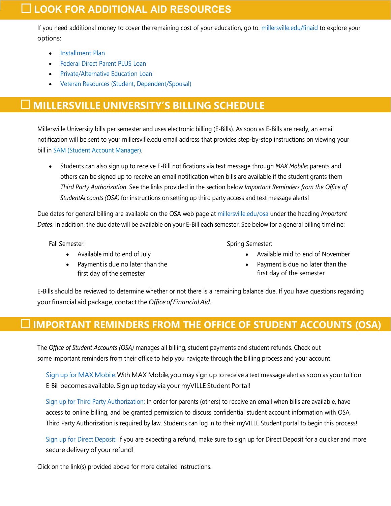#### **LOOK FOR ADDITIONAL AID RESOURCES**

If you need additional money to cover the remaining cost of your education, go to: [millersville.edu/finaid](http://www.millersville.edu/finaid) to explore your options:

- [Installment Plan](http://www.millersville.edu/osa/installmentplan.php)
- [Federal](http://www.millersville.edu/finaid/loans/plus.php) Direct Parent PLUS Loan
- [Private/Alternative](http://www.millersville.edu/finaid/loans/alternative.php) Education Loan
- [Veteran Resources \(Student, Dependent/Spousal\)](https://www.millersville.edu/finaid/studentinfo/veteran.php)

#### **MILLERSVILLE UNIVERSITY'S BILLING SCHEDULE**

Millersville University bills per semester and uses electronic billing (E-Bills). As soon as E-Bills are ready, an email notification will be sent to your millersville.edu email address that provides step-by-step instructions on viewing your bill i[n SAM \(Student Account Manager\).](https://www.millersville.edu/osa/student-account-manager.php)

• Students can also sign up to receive E-Bill notifications via text message through *MAX Mobile*; parents and others can be signed up to receive an email notification when bills are available if the student grants them *Third Party Authorization*. See the links provided in the section below *Important Reminders from the Office of StudentAccounts(OSA)* for instructions on setting up third party access and text message alerts!

Due dates for general billing are available on the OSA web page at [millersville.edu/o](http://www.millersville.edu/osa)sa under the heading *Important Dates*. In addition, the due date will be available on your E-Bill each semester. See below for a general billing timeline:

Fall Semester:

- Available mid to end of July
- Payment is due no later than the first day of the semester

Spring Semester:

- Available mid to end of November
- Payment is due no later than the first day of the semester

E-Bills should be reviewed to determine whether or not there is a remaining balance due. If you have questions regarding yourfinancial aid package, contactthe *Office of FinancialAid*.

#### **IMPORTANT REMINDERS FROM THE OFFICE OF STUDENT ACCOUNTS (OSA)**

The *Office of Student Accounts (OSA)* manages all billing, student payments and student refunds. Check out some important reminders from their office to help you navigate through the billing process and your account!

Sign up for MAX [Mobile:](http://www.millersville.edu/osa/max-mobile.php) With MAX Mobile, you may sign up to receive a text message alert as soon as your tuition E-Bill becomes available. Sign up today via your myVILLE Student Portal!

[Sign up for Third Party Authorization: I](http://www.millersville.edu/osa/third-partyparent-authorization.php)n order for parents (others) to receive an email when bills are available, have access to online billing, and be granted permission to discuss confidential student account information with OSA, Third Party Authorization is required by law. Students can log in to their myVILLE Student portal to begin this process!

Sign up for Direct [Deposit:](https://millersville.edu/osa/refund.php) If you are expecting a refund, make sure to sign up for Direct Deposit for a quicker and more secure delivery of your refund!

Click on the link(s) provided above for more detailed instructions.